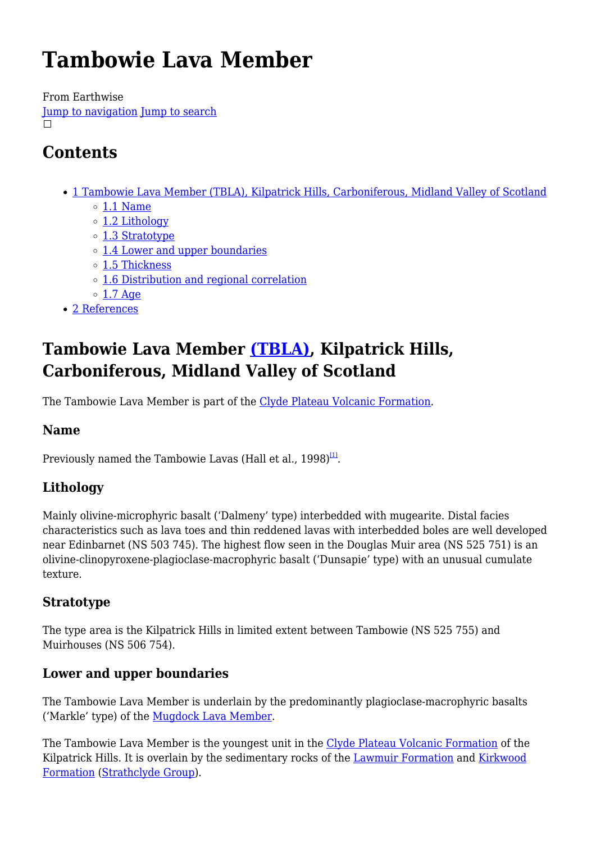# **Tambowie Lava Member**

From Earthwise [Jump to navigation](#page--1-0) [Jump to search](#page--1-0)  $\Box$ 

# **Contents**

- [1](#Tambowie_Lava_Member_.28TBLA.29.2C_Kilpatrick_Hills.2C_Carboniferous.2C_Midland_Valley_of_Scotland) [Tambowie Lava Member \(TBLA\), Kilpatrick Hills, Carboniferous, Midland Valley of Scotland](#Tambowie_Lava_Member_.28TBLA.29.2C_Kilpatrick_Hills.2C_Carboniferous.2C_Midland_Valley_of_Scotland)  $\circ$  [1.1](#page--1-0) [Name](#page--1-0)
	-
	- o [1.2](#page--1-0) [Lithology](#page--1-0)
	- [1.3](#page--1-0) [Stratotype](#page--1-0)
	- [1.4](#page--1-0) [Lower and upper boundaries](#page--1-0)
	- o [1.5](#page--1-0) [Thickness](#page--1-0)
	- [1.6](#page--1-0) [Distribution and regional correlation](#page--1-0)
	- $\circ$  [1.7](#page--1-0) [Age](#page--1-0)
- [2](#page--1-0) [References](#page--1-0)

# **Tambowie Lava Member [\(TBLA\),](http://www.bgs.ac.uk/lexicon/lexicon.cfm?pub=TBLA) Kilpatrick Hills, Carboniferous, Midland Valley of Scotland**

The Tambowie Lava Member is part of the [Clyde Plateau Volcanic Formation](http://earthwise.bgs.ac.uk/index.php/Clyde_Plateau_Volcanic_Formation).

### **Name**

Previously named the Tambowie Lavas (Hall et al.,  $1998)^{11}$ .

### **Lithology**

Mainly olivine-microphyric basalt ('Dalmeny' type) interbedded with mugearite. Distal facies characteristics such as lava toes and thin reddened lavas with interbedded boles are well developed near Edinbarnet (NS 503 745). The highest flow seen in the Douglas Muir area (NS 525 751) is an olivine-clinopyroxene-plagioclase-macrophyric basalt ('Dunsapie' type) with an unusual cumulate texture.

### **Stratotype**

The type area is the Kilpatrick Hills in limited extent between Tambowie (NS 525 755) and Muirhouses (NS 506 754).

### **Lower and upper boundaries**

The Tambowie Lava Member is underlain by the predominantly plagioclase-macrophyric basalts ('Markle' type) of the [Mugdock Lava Member.](http://earthwise.bgs.ac.uk/index.php/Mugdock_Lava_Member)

The Tambowie Lava Member is the youngest unit in the [Clyde Plateau Volcanic Formation](http://earthwise.bgs.ac.uk/index.php/Clyde_Plateau_Volcanic_Formation) of the Kilpatrick Hills. It is overlain by the sedimentary rocks of the [Lawmuir Formation](http://earthwise.bgs.ac.uk/index.php/Lawmuir_Formation) and [Kirkwood](http://earthwise.bgs.ac.uk/index.php/Kirkwood_Formation) [Formation](http://earthwise.bgs.ac.uk/index.php/Kirkwood_Formation) ([Strathclyde Group\)](http://earthwise.bgs.ac.uk/index.php/Strathclyde_Group).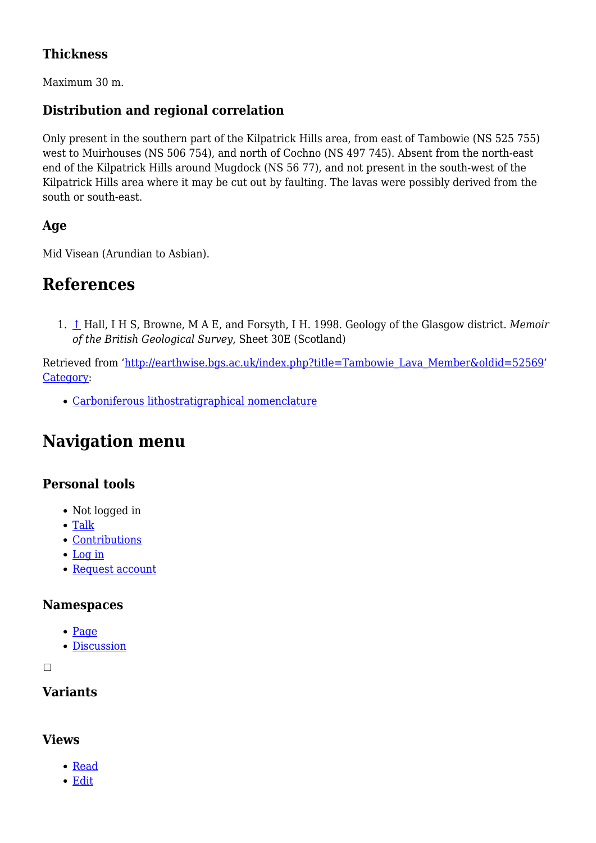### **Thickness**

Maximum 30 m.

### **Distribution and regional correlation**

Only present in the southern part of the Kilpatrick Hills area, from east of Tambowie (NS 525 755) west to Muirhouses (NS 506 754), and north of Cochno (NS 497 745). Absent from the north-east end of the Kilpatrick Hills around Mugdock (NS 56 77), and not present in the south-west of the Kilpatrick Hills area where it may be cut out by faulting. The lavas were possibly derived from the south or south-east.

### **Age**

Mid Visean (Arundian to Asbian).

### **References**

1. [↑](#page--1-0) Hall, I H S, Browne, M A E, and Forsyth, I H. 1998. Geology of the Glasgow district. *Memoir of the British Geological Survey*, Sheet 30E (Scotland)

Retrieved from ['http://earthwise.bgs.ac.uk/index.php?title=Tambowie\\_Lava\\_Member&oldid=52569](http://earthwise.bgs.ac.uk/index.php?title=Tambowie_Lava_Member&oldid=52569)' [Category](http://earthwise.bgs.ac.uk/index.php/Special:Categories):

[Carboniferous lithostratigraphical nomenclature](http://earthwise.bgs.ac.uk/index.php/Category:Carboniferous_lithostratigraphical_nomenclature)

## **Navigation menu**

### **Personal tools**

- Not logged in
- [Talk](http://earthwise.bgs.ac.uk/index.php/Special:MyTalk)
- [Contributions](http://earthwise.bgs.ac.uk/index.php/Special:MyContributions)
- [Log in](http://earthwise.bgs.ac.uk/index.php?title=Special:UserLogin&returnto=Tambowie+Lava+Member&returntoquery=action%3Dmpdf)
- [Request account](http://earthwise.bgs.ac.uk/index.php/Special:RequestAccount)

### **Namespaces**

- [Page](http://earthwise.bgs.ac.uk/index.php/Tambowie_Lava_Member)
- [Discussion](http://earthwise.bgs.ac.uk/index.php?title=Talk:Tambowie_Lava_Member&action=edit&redlink=1)

 $\Box$ 

### **Variants**

### **Views**

- [Read](http://earthwise.bgs.ac.uk/index.php/Tambowie_Lava_Member)
- [Edit](http://earthwise.bgs.ac.uk/index.php?title=Tambowie_Lava_Member&action=edit)